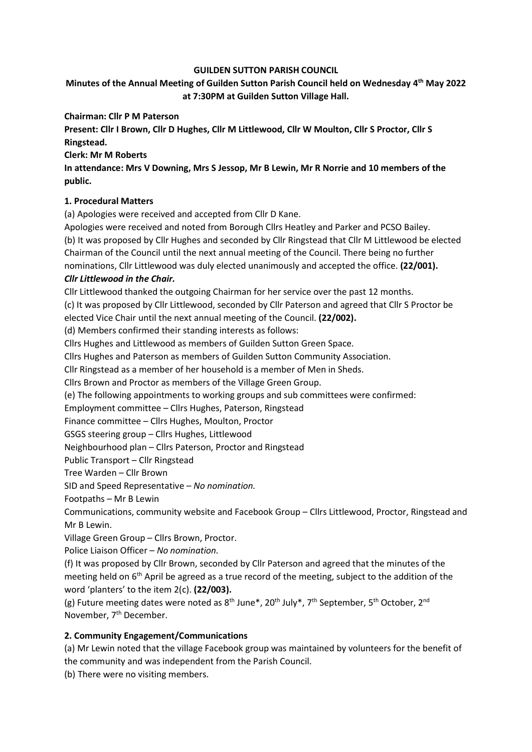#### GUILDEN SUTTON PARISH COUNCIL

# Minutes of the Annual Meeting of Guilden Sutton Parish Council held on Wednesday 4<sup>th</sup> May 2022 at 7:30PM at Guilden Sutton Village Hall.

### Chairman: Cllr P M Paterson

Present: Cllr I Brown, Cllr D Hughes, Cllr M Littlewood, Cllr W Moulton, Cllr S Proctor, Cllr S Ringstead.

#### Clerk: Mr M Roberts

In attendance: Mrs V Downing, Mrs S Jessop, Mr B Lewin, Mr R Norrie and 10 members of the public.

# 1. Procedural Matters

(a) Apologies were received and accepted from Cllr D Kane.

Apologies were received and noted from Borough Cllrs Heatley and Parker and PCSO Bailey. (b) It was proposed by Cllr Hughes and seconded by Cllr Ringstead that Cllr M Littlewood be elected Chairman of the Council until the next annual meeting of the Council. There being no further nominations, Cllr Littlewood was duly elected unanimously and accepted the office. (22/001). Cllr Littlewood in the Chair.

Cllr Littlewood thanked the outgoing Chairman for her service over the past 12 months.

(c) It was proposed by Cllr Littlewood, seconded by Cllr Paterson and agreed that Cllr S Proctor be elected Vice Chair until the next annual meeting of the Council. (22/002).

(d) Members confirmed their standing interests as follows:

Cllrs Hughes and Littlewood as members of Guilden Sutton Green Space.

Cllrs Hughes and Paterson as members of Guilden Sutton Community Association.

Cllr Ringstead as a member of her household is a member of Men in Sheds.

Cllrs Brown and Proctor as members of the Village Green Group.

(e) The following appointments to working groups and sub committees were confirmed:

Employment committee – Cllrs Hughes, Paterson, Ringstead

Finance committee – Cllrs Hughes, Moulton, Proctor

GSGS steering group – Cllrs Hughes, Littlewood

Neighbourhood plan – Cllrs Paterson, Proctor and Ringstead

Public Transport – Cllr Ringstead

Tree Warden – Cllr Brown

SID and Speed Representative – No nomination.

Footpaths – Mr B Lewin

Communications, community website and Facebook Group – Cllrs Littlewood, Proctor, Ringstead and Mr B Lewin.

Village Green Group – Cllrs Brown, Proctor.

Police Liaison Officer – No nomination.

(f) It was proposed by Cllr Brown, seconded by Cllr Paterson and agreed that the minutes of the meeting held on 6<sup>th</sup> April be agreed as a true record of the meeting, subject to the addition of the word 'planters' to the item 2(c). (22/003).

(g) Future meeting dates were noted as  $8^{th}$  June\*,  $20^{th}$  July\*,  $7^{th}$  September,  $5^{th}$  October,  $2^{nd}$ November, 7<sup>th</sup> December.

# 2. Community Engagement/Communications

(a) Mr Lewin noted that the village Facebook group was maintained by volunteers for the benefit of the community and was independent from the Parish Council.

(b) There were no visiting members.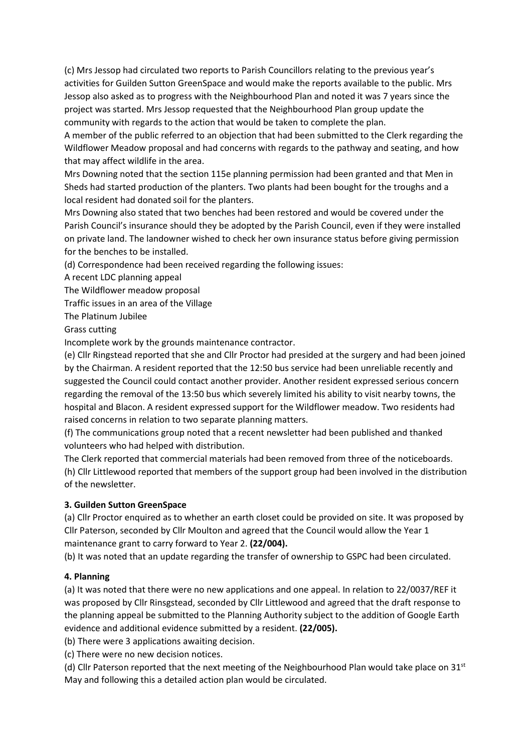(c) Mrs Jessop had circulated two reports to Parish Councillors relating to the previous year's activities for Guilden Sutton GreenSpace and would make the reports available to the public. Mrs Jessop also asked as to progress with the Neighbourhood Plan and noted it was 7 years since the project was started. Mrs Jessop requested that the Neighbourhood Plan group update the community with regards to the action that would be taken to complete the plan.

A member of the public referred to an objection that had been submitted to the Clerk regarding the Wildflower Meadow proposal and had concerns with regards to the pathway and seating, and how that may affect wildlife in the area.

Mrs Downing noted that the section 115e planning permission had been granted and that Men in Sheds had started production of the planters. Two plants had been bought for the troughs and a local resident had donated soil for the planters.

Mrs Downing also stated that two benches had been restored and would be covered under the Parish Council's insurance should they be adopted by the Parish Council, even if they were installed on private land. The landowner wished to check her own insurance status before giving permission for the benches to be installed.

(d) Correspondence had been received regarding the following issues:

A recent LDC planning appeal

The Wildflower meadow proposal

Traffic issues in an area of the Village

The Platinum Jubilee

Grass cutting

Incomplete work by the grounds maintenance contractor.

(e) Cllr Ringstead reported that she and Cllr Proctor had presided at the surgery and had been joined by the Chairman. A resident reported that the 12:50 bus service had been unreliable recently and suggested the Council could contact another provider. Another resident expressed serious concern regarding the removal of the 13:50 bus which severely limited his ability to visit nearby towns, the hospital and Blacon. A resident expressed support for the Wildflower meadow. Two residents had raised concerns in relation to two separate planning matters.

(f) The communications group noted that a recent newsletter had been published and thanked volunteers who had helped with distribution.

The Clerk reported that commercial materials had been removed from three of the noticeboards. (h) Cllr Littlewood reported that members of the support group had been involved in the distribution of the newsletter.

#### 3. Guilden Sutton GreenSpace

(a) Cllr Proctor enquired as to whether an earth closet could be provided on site. It was proposed by Cllr Paterson, seconded by Cllr Moulton and agreed that the Council would allow the Year 1 maintenance grant to carry forward to Year 2. (22/004).

(b) It was noted that an update regarding the transfer of ownership to GSPC had been circulated.

# 4. Planning

(a) It was noted that there were no new applications and one appeal. In relation to 22/0037/REF it was proposed by Cllr Rinsgstead, seconded by Cllr Littlewood and agreed that the draft response to the planning appeal be submitted to the Planning Authority subject to the addition of Google Earth evidence and additional evidence submitted by a resident. (22/005).

(b) There were 3 applications awaiting decision.

(c) There were no new decision notices.

(d) Cllr Paterson reported that the next meeting of the Neighbourhood Plan would take place on  $31^{st}$ May and following this a detailed action plan would be circulated.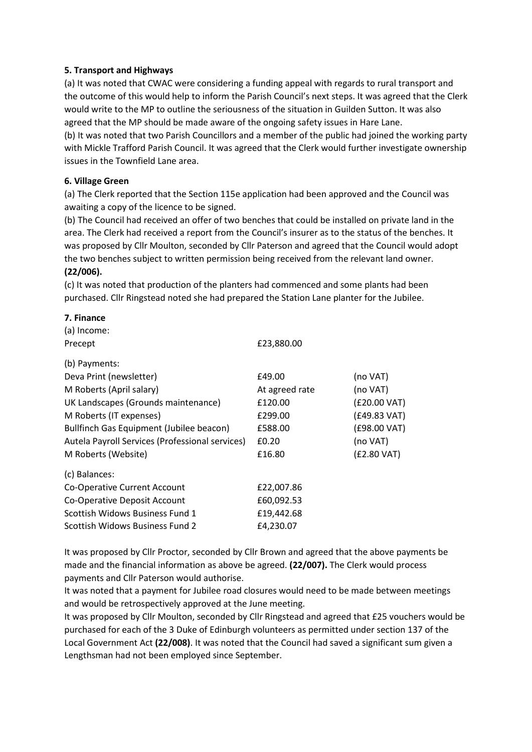### 5. Transport and Highways

(a) It was noted that CWAC were considering a funding appeal with regards to rural transport and the outcome of this would help to inform the Parish Council's next steps. It was agreed that the Clerk would write to the MP to outline the seriousness of the situation in Guilden Sutton. It was also agreed that the MP should be made aware of the ongoing safety issues in Hare Lane.

(b) It was noted that two Parish Councillors and a member of the public had joined the working party with Mickle Trafford Parish Council. It was agreed that the Clerk would further investigate ownership issues in the Townfield Lane area.

#### 6. Village Green

(a) The Clerk reported that the Section 115e application had been approved and the Council was awaiting a copy of the licence to be signed.

(b) The Council had received an offer of two benches that could be installed on private land in the area. The Clerk had received a report from the Council's insurer as to the status of the benches. It was proposed by Cllr Moulton, seconded by Cllr Paterson and agreed that the Council would adopt the two benches subject to written permission being received from the relevant land owner.

#### (22/006).

(c) It was noted that production of the planters had commenced and some plants had been purchased. Cllr Ringstead noted she had prepared the Station Lane planter for the Jubilee.

#### 7. Finance

| (a) Income:                                     |                |              |
|-------------------------------------------------|----------------|--------------|
| Precept                                         | £23,880.00     |              |
| (b) Payments:                                   |                |              |
| Deva Print (newsletter)                         | £49.00         | (no VAT)     |
| M Roberts (April salary)                        | At agreed rate | (no VAT)     |
| UK Landscapes (Grounds maintenance)             | £120.00        | (£20.00 VAT) |
| M Roberts (IT expenses)                         | £299.00        | (£49.83 VAT) |
| Bullfinch Gas Equipment (Jubilee beacon)        | £588.00        | (£98.00 VAT) |
| Autela Payroll Services (Professional services) | £0.20          | (no VAT)     |
| M Roberts (Website)                             | £16.80         | (£2.80 VAT)  |
| (c) Balances:                                   |                |              |
| Co-Operative Current Account                    | £22,007.86     |              |
| Co-Operative Deposit Account                    | £60,092.53     |              |
| Scottish Widows Business Fund 1                 | £19,442.68     |              |
| Scottish Widows Business Fund 2                 | £4,230.07      |              |

It was proposed by Cllr Proctor, seconded by Cllr Brown and agreed that the above payments be made and the financial information as above be agreed. (22/007). The Clerk would process payments and Cllr Paterson would authorise.

It was noted that a payment for Jubilee road closures would need to be made between meetings and would be retrospectively approved at the June meeting.

It was proposed by Cllr Moulton, seconded by Cllr Ringstead and agreed that £25 vouchers would be purchased for each of the 3 Duke of Edinburgh volunteers as permitted under section 137 of the Local Government Act (22/008). It was noted that the Council had saved a significant sum given a Lengthsman had not been employed since September.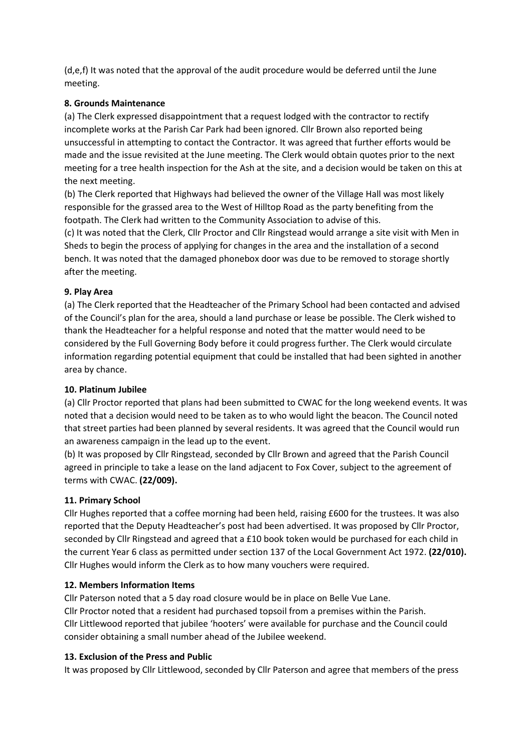(d,e,f) It was noted that the approval of the audit procedure would be deferred until the June meeting.

# 8. Grounds Maintenance

(a) The Clerk expressed disappointment that a request lodged with the contractor to rectify incomplete works at the Parish Car Park had been ignored. Cllr Brown also reported being unsuccessful in attempting to contact the Contractor. It was agreed that further efforts would be made and the issue revisited at the June meeting. The Clerk would obtain quotes prior to the next meeting for a tree health inspection for the Ash at the site, and a decision would be taken on this at the next meeting.

(b) The Clerk reported that Highways had believed the owner of the Village Hall was most likely responsible for the grassed area to the West of Hilltop Road as the party benefiting from the footpath. The Clerk had written to the Community Association to advise of this.

(c) It was noted that the Clerk, Cllr Proctor and Cllr Ringstead would arrange a site visit with Men in Sheds to begin the process of applying for changes in the area and the installation of a second bench. It was noted that the damaged phonebox door was due to be removed to storage shortly after the meeting.

# 9. Play Area

(a) The Clerk reported that the Headteacher of the Primary School had been contacted and advised of the Council's plan for the area, should a land purchase or lease be possible. The Clerk wished to thank the Headteacher for a helpful response and noted that the matter would need to be considered by the Full Governing Body before it could progress further. The Clerk would circulate information regarding potential equipment that could be installed that had been sighted in another area by chance.

# 10. Platinum Jubilee

(a) Cllr Proctor reported that plans had been submitted to CWAC for the long weekend events. It was noted that a decision would need to be taken as to who would light the beacon. The Council noted that street parties had been planned by several residents. It was agreed that the Council would run an awareness campaign in the lead up to the event.

(b) It was proposed by Cllr Ringstead, seconded by Cllr Brown and agreed that the Parish Council agreed in principle to take a lease on the land adjacent to Fox Cover, subject to the agreement of terms with CWAC. (22/009).

# 11. Primary School

Cllr Hughes reported that a coffee morning had been held, raising £600 for the trustees. It was also reported that the Deputy Headteacher's post had been advertised. It was proposed by Cllr Proctor, seconded by Cllr Ringstead and agreed that a £10 book token would be purchased for each child in the current Year 6 class as permitted under section 137 of the Local Government Act 1972. (22/010). Cllr Hughes would inform the Clerk as to how many vouchers were required.

# 12. Members Information Items

Cllr Paterson noted that a 5 day road closure would be in place on Belle Vue Lane. Cllr Proctor noted that a resident had purchased topsoil from a premises within the Parish. Cllr Littlewood reported that jubilee 'hooters' were available for purchase and the Council could consider obtaining a small number ahead of the Jubilee weekend.

# 13. Exclusion of the Press and Public

It was proposed by Cllr Littlewood, seconded by Cllr Paterson and agree that members of the press